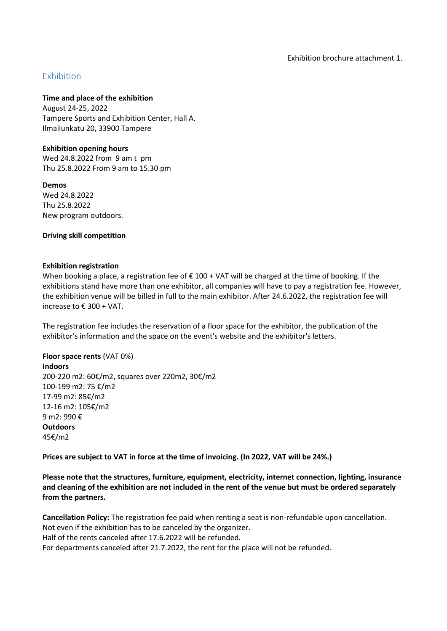# Exhibition

**Time and place of the exhibition**

August 24-25, 2022 Tampere Sports and Exhibition Center, Hall A. Ilmailunkatu 20, 33900 Tampere

**Exhibition opening hours**

Wed 24.8.2022 from 9 am t pm Thu 25.8.2022 From 9 am to 15.30 pm

**Demos** Wed 24.8.2022 Thu 25.8.2022 New program outdoors.

### **Driving skill competition**

### **Exhibition registration**

When booking a place, a registration fee of € 100 + VAT will be charged at the time of booking. If the exhibitions stand have more than one exhibitor, all companies will have to pay a registration fee. However, the exhibition venue will be billed in full to the main exhibitor. After 24.6.2022, the registration fee will increase to € 300 + VAT.

The registration fee includes the reservation of a floor space for the exhibitor, the publication of the exhibitor's information and the space on the event's website and the exhibitor's letters.

## **Floor space rents** (VAT 0%)

**Indoors** 200-220 m2: 60€/m2, squares over 220m2, 30€/m2 100-199 m2: 75 €/m2 17-99 m2: 85€/m2 12-16 m2: 105€/m2 9 m2: 990 € **Outdoors** 45€/m2

**Prices are subject to VAT in force at the time of invoicing. (In 2022, VAT will be 24%.)**

**Please note that the structures, furniture, equipment, electricity, internet connection, lighting, insurance and cleaning of the exhibition are not included in the rent of the venue but must be ordered separately from the partners.**

**Cancellation Policy:** The registration fee paid when renting a seat is non-refundable upon cancellation. Not even if the exhibition has to be canceled by the organizer. Half of the rents canceled after 17.6.2022 will be refunded. For departments canceled after 21.7.2022, the rent for the place will not be refunded.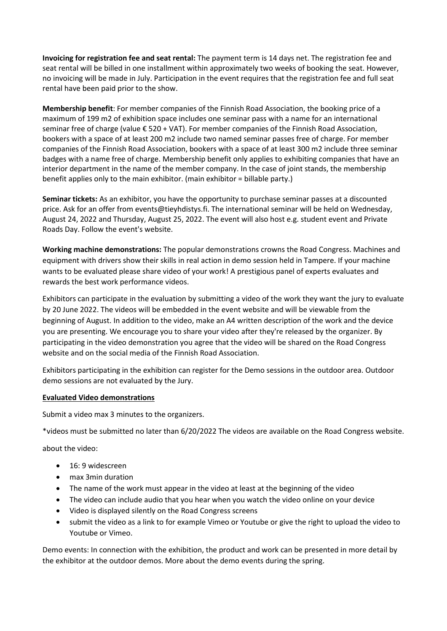**Invoicing for registration fee and seat rental:** The payment term is 14 days net. The registration fee and seat rental will be billed in one installment within approximately two weeks of booking the seat. However, no invoicing will be made in July. Participation in the event requires that the registration fee and full seat rental have been paid prior to the show.

**Membership benefit**: For member companies of the Finnish Road Association, the booking price of a maximum of 199 m2 of exhibition space includes one seminar pass with a name for an international seminar free of charge (value € 520 + VAT). For member companies of the Finnish Road Association, bookers with a space of at least 200 m2 include two named seminar passes free of charge. For member companies of the Finnish Road Association, bookers with a space of at least 300 m2 include three seminar badges with a name free of charge. Membership benefit only applies to exhibiting companies that have an interior department in the name of the member company. In the case of joint stands, the membership benefit applies only to the main exhibitor. (main exhibitor = billable party.)

**Seminar tickets:** As an exhibitor, you have the opportunity to purchase seminar passes at a discounted price. Ask for an offer from events@tieyhdistys.fi. The international seminar will be held on Wednesday, August 24, 2022 and Thursday, August 25, 2022. The event will also host e.g. student event and Private Roads Day. Follow the event's website.

**Working machine demonstrations:** The popular demonstrations crowns the Road Congress. Machines and equipment with drivers show their skills in real action in demo session held in Tampere. If your machine wants to be evaluated please share video of your work! A prestigious panel of experts evaluates and rewards the best work performance videos.

Exhibitors can participate in the evaluation by submitting a video of the work they want the jury to evaluate by 20 June 2022. The videos will be embedded in the event website and will be viewable from the beginning of August. In addition to the video, make an A4 written description of the work and the device you are presenting. We encourage you to share your video after they're released by the organizer. By participating in the video demonstration you agree that the video will be shared on the Road Congress website and on the social media of the Finnish Road Association.

Exhibitors participating in the exhibition can register for the Demo sessions in the outdoor area. Outdoor demo sessions are not evaluated by the Jury.

## **Evaluated Video demonstrations**

Submit a video max 3 minutes to the organizers.

\*videos must be submitted no later than 6/20/2022 The videos are available on the Road Congress website.

about the video:

- 16: 9 widescreen
- max 3min duration
- The name of the work must appear in the video at least at the beginning of the video
- The video can include audio that you hear when you watch the video online on your device
- Video is displayed silently on the Road Congress screens
- submit the video as a link to for example Vimeo or Youtube or give the right to upload the video to Youtube or Vimeo.

Demo events: In connection with the exhibition, the product and work can be presented in more detail by the exhibitor at the outdoor demos. More about the demo events during the spring.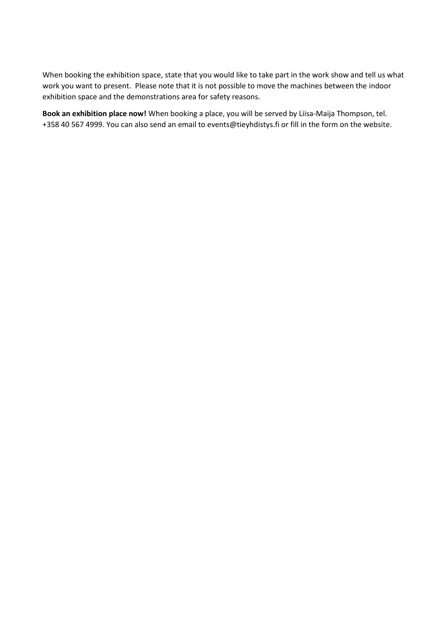When booking the exhibition space, state that you would like to take part in the work show and tell us what work you want to present. Please note that it is not possible to move the machines between the indoor exhibition space and the demonstrations area for safety reasons.

**Book an exhibition place now!** When booking a place, you will be served by Liisa-Maija Thompson, tel. +358 40 567 4999. You can also send an email to events@tieyhdistys.fi or fill in the form on the website.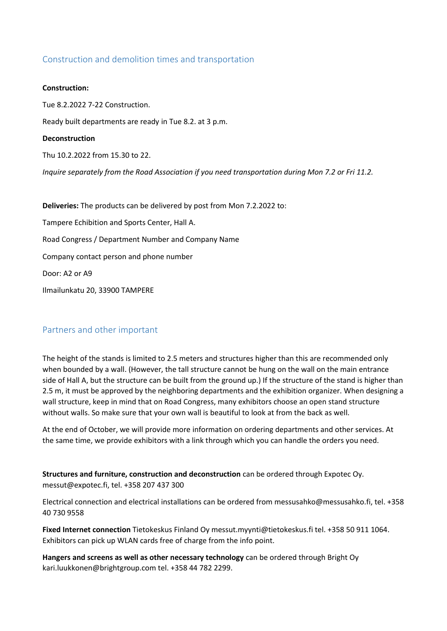# Construction and demolition times and transportation

#### **Construction:**

Tue 8.2.2022 7-22 Construction.

Ready built departments are ready in Tue 8.2. at 3 p.m.

#### **Deconstruction**

Thu 10.2.2022 from 15.30 to 22.

*Inquire separately from the Road Association if you need transportation during Mon 7.2 or Fri 11.2.*

**Deliveries:** The products can be delivered by post from Mon 7.2.2022 to: Tampere Echibition and Sports Center, Hall A. Road Congress / Department Number and Company Name Company contact person and phone number Door: A2 or A9 Ilmailunkatu 20, 33900 TAMPERE

# Partners and other important

The height of the stands is limited to 2.5 meters and structures higher than this are recommended only when bounded by a wall. (However, the tall structure cannot be hung on the wall on the main entrance side of Hall A, but the structure can be built from the ground up.) If the structure of the stand is higher than 2.5 m, it must be approved by the neighboring departments and the exhibition organizer. When designing a wall structure, keep in mind that on Road Congress, many exhibitors choose an open stand structure without walls. So make sure that your own wall is beautiful to look at from the back as well.

At the end of October, we will provide more information on ordering departments and other services. At the same time, we provide exhibitors with a link through which you can handle the orders you need.

**Structures and furniture, construction and deconstruction** can be ordered through Expotec Oy. messut@expotec.fi, tel. +358 207 437 300

Electrical connection and electrical installations can be ordered from messusahko@messusahko.fi, tel. +358 40 730 9558

**Fixed Internet connection** Tietokeskus Finland Oy messut.myynti@tietokeskus.fi tel. +358 50 911 1064. Exhibitors can pick up WLAN cards free of charge from the info point.

**Hangers and screens as well as other necessary technology** can be ordered through Bright Oy kari.luukkonen@brightgroup.com tel. +358 44 782 2299.